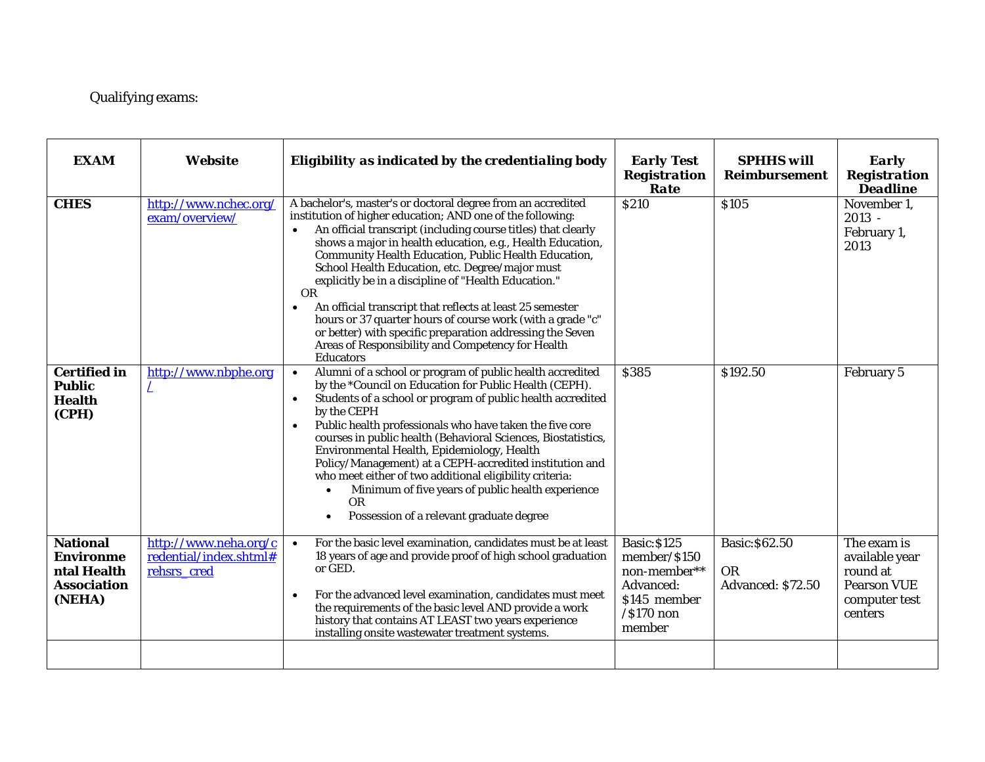## Qualifying exams:

| <b>EXAM</b>                                                                        | <b>Website</b>                                                 | Eligibility as indicated by the credentialing body                                                                                                                                                                                                                                                                                                                                                                                                                                                                                                                                                                                                                                                              | <b>Early Test</b><br><b>Registration</b><br>Rate                                                            | <b>SPHHS</b> will<br><b>Reimbursement</b>        | <b>Early</b><br><b>Registration</b><br><b>Deadline</b>                                      |
|------------------------------------------------------------------------------------|----------------------------------------------------------------|-----------------------------------------------------------------------------------------------------------------------------------------------------------------------------------------------------------------------------------------------------------------------------------------------------------------------------------------------------------------------------------------------------------------------------------------------------------------------------------------------------------------------------------------------------------------------------------------------------------------------------------------------------------------------------------------------------------------|-------------------------------------------------------------------------------------------------------------|--------------------------------------------------|---------------------------------------------------------------------------------------------|
| <b>CHES</b>                                                                        | http://www.nchec.org/<br>exam/overview/                        | A bachelor's, master's or doctoral degree from an accredited<br>institution of higher education; AND one of the following:<br>An official transcript (including course titles) that clearly<br>shows a major in health education, e.g., Health Education,<br>Community Health Education, Public Health Education,<br>School Health Education, etc. Degree/major must<br>explicitly be in a discipline of "Health Education."<br>0 <sub>R</sub><br>An official transcript that reflects at least 25 semester<br>hours or 37 quarter hours of course work (with a grade "c"<br>or better) with specific preparation addressing the Seven<br>Areas of Responsibility and Competency for Health<br><b>Educators</b> | <b>\$210</b>                                                                                                | <b>S105</b>                                      | November 1,<br>$2013 -$<br>February 1,<br>2013                                              |
| <b>Certified in</b><br><b>Public</b><br><b>Health</b><br>(CPH)                     | http://www.nbphe.org                                           | Alumni of a school or program of public health accredited<br>$\bullet$<br>by the *Council on Education for Public Health (CEPH).<br>Students of a school or program of public health accredited<br>$\bullet$<br>by the CEPH<br>Public health professionals who have taken the five core<br>courses in public health (Behavioral Sciences, Biostatistics,<br>Environmental Health, Epidemiology, Health<br>Policy/Management) at a CEPH-accredited institution and<br>who meet either of two additional eligibility criteria:<br>Minimum of five years of public health experience<br><b>OR</b><br>Possession of a relevant graduate degree                                                                      | \$385                                                                                                       | \$192.50                                         | February 5                                                                                  |
| <b>National</b><br><b>Environme</b><br>ntal Health<br><b>Association</b><br>(NEHA) | http://www.neha.org/c<br>redential/index.shtml#<br>rehsrs cred | For the basic level examination, candidates must be at least<br>$\bullet$<br>18 years of age and provide proof of high school graduation<br>or GED.<br>For the advanced level examination, candidates must meet<br>$\bullet$<br>the requirements of the basic level AND provide a work<br>history that contains AT LEAST two years experience<br>installing onsite wastewater treatment systems.                                                                                                                                                                                                                                                                                                                | <b>Basic: \$125</b><br>member/\$150<br>non-member**<br>Advanced:<br>\$145 member<br>$/$ \$170 non<br>member | Basic: \$62.50<br><b>OR</b><br>Advanced: \$72.50 | The exam is<br>available year<br>round at<br><b>Pearson VUE</b><br>computer test<br>centers |
|                                                                                    |                                                                |                                                                                                                                                                                                                                                                                                                                                                                                                                                                                                                                                                                                                                                                                                                 |                                                                                                             |                                                  |                                                                                             |